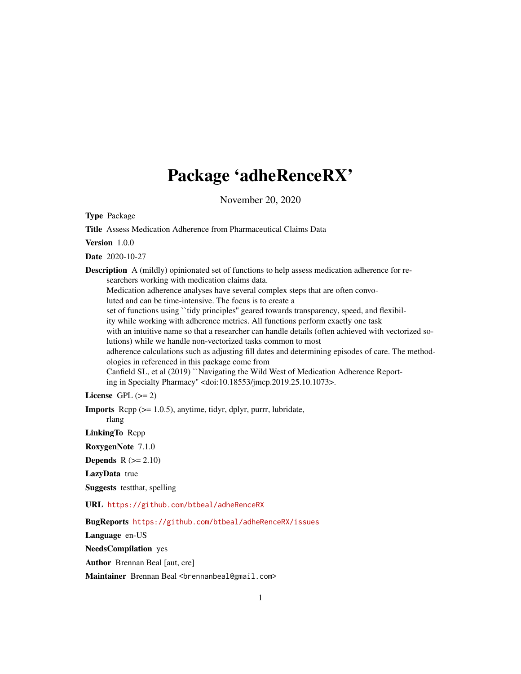## Package 'adheRenceRX'

November 20, 2020

<span id="page-0-0"></span>Type Package

Title Assess Medication Adherence from Pharmaceutical Claims Data Version 1.0.0 Date 2020-10-27 **Description** A (mildly) opinionated set of functions to help assess medication adherence for researchers working with medication claims data. Medication adherence analyses have several complex steps that are often convoluted and can be time-intensive. The focus is to create a set of functions using "tidy principles" geared towards transparency, speed, and flexibility while working with adherence metrics. All functions perform exactly one task with an intuitive name so that a researcher can handle details (often achieved with vectorized solutions) while we handle non-vectorized tasks common to most adherence calculations such as adjusting fill dates and determining episodes of care. The methodologies in referenced in this package come from Canfield SL, et al (2019) ``Navigating the Wild West of Medication Adherence Reporting in Specialty Pharmacy'' <doi:10.18553/jmcp.2019.25.10.1073>. License GPL  $(>= 2)$ Imports Rcpp (>= 1.0.5), anytime, tidyr, dplyr, purrr, lubridate, rlang LinkingTo Rcpp RoxygenNote 7.1.0

**Depends**  $R$  ( $>= 2.10$ )

LazyData true

Suggests testthat, spelling

URL <https://github.com/btbeal/adheRenceRX>

BugReports <https://github.com/btbeal/adheRenceRX/issues>

Language en-US

NeedsCompilation yes

Author Brennan Beal [aut, cre]

Maintainer Brennan Beal <br />brennanbeal@gmail.com>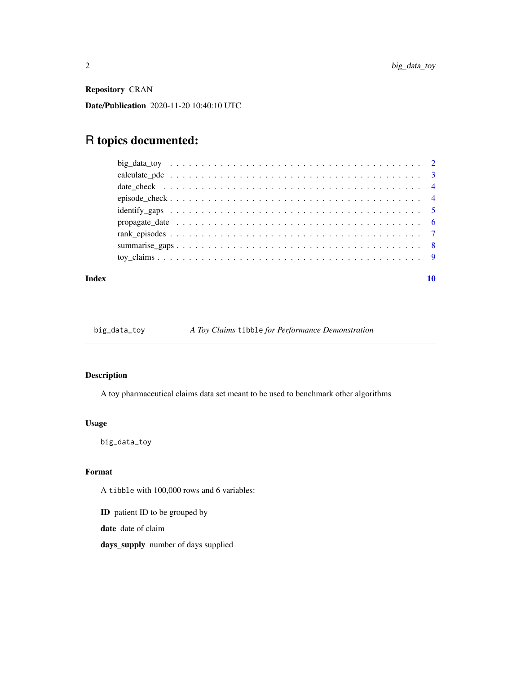<span id="page-1-0"></span>Repository CRAN

Date/Publication 2020-11-20 10:40:10 UTC

### R topics documented:

#### $\blacksquare$

big\_data\_toy *A Toy Claims* tibble *for Performance Demonstration*

#### Description

A toy pharmaceutical claims data set meant to be used to benchmark other algorithms

#### Usage

big\_data\_toy

#### Format

A tibble with 100,000 rows and 6 variables:

ID patient ID to be grouped by

date date of claim

days\_supply number of days supplied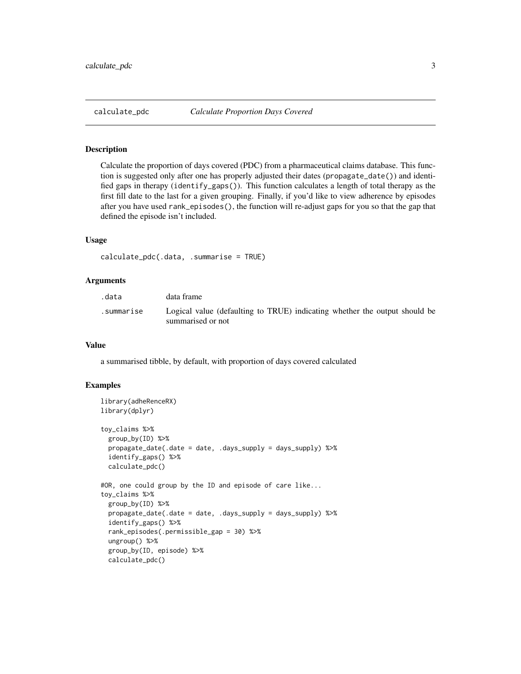<span id="page-2-0"></span>

Calculate the proportion of days covered (PDC) from a pharmaceutical claims database. This function is suggested only after one has properly adjusted their dates (propagate\_date()) and identified gaps in therapy (identify\_gaps()). This function calculates a length of total therapy as the first fill date to the last for a given grouping. Finally, if you'd like to view adherence by episodes after you have used rank\_episodes(), the function will re-adjust gaps for you so that the gap that defined the episode isn't included.

#### Usage

```
calculate_pdc(.data, .summarise = TRUE)
```
#### Arguments

| .data      | data frame                                                                                      |
|------------|-------------------------------------------------------------------------------------------------|
| summarise. | Logical value (defaulting to TRUE) indicating whether the output should be<br>summarised or not |

#### Value

a summarised tibble, by default, with proportion of days covered calculated

```
library(adheRenceRX)
library(dplyr)
toy_claims %>%
 group_by(ID) %>%
 propagate_date(.date = date, .days_supply = days_supply) %>%
 identify_gaps() %>%
 calculate_pdc()
#OR, one could group by the ID and episode of care like...
toy_claims %>%
 group_by(ID) %>%
 propagate_date(.date = date, .days_supply = days_supply) %>%
 identify_gaps() %>%
 rank_episodes(.permissible_gap = 30) %>%
 ungroup() %>%
 group_by(ID, episode) %>%
 calculate_pdc()
```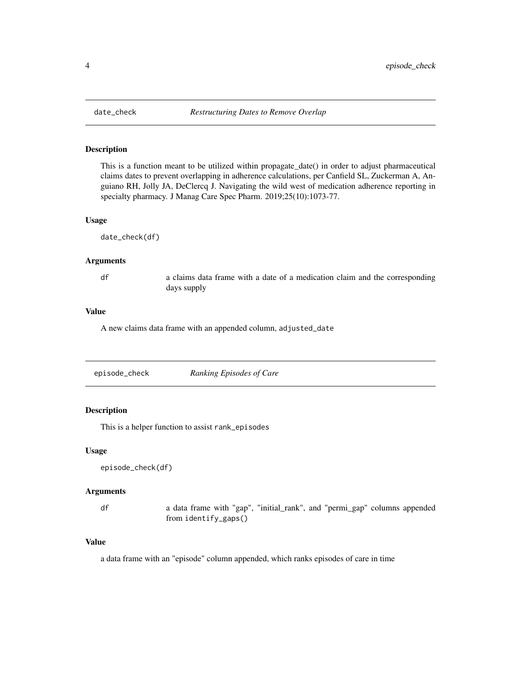<span id="page-3-0"></span>

This is a function meant to be utilized within propagate\_date() in order to adjust pharmaceutical claims dates to prevent overlapping in adherence calculations, per Canfield SL, Zuckerman A, Anguiano RH, Jolly JA, DeClercq J. Navigating the wild west of medication adherence reporting in specialty pharmacy. J Manag Care Spec Pharm. 2019;25(10):1073-77.

#### Usage

date\_check(df)

#### Arguments

df a claims data frame with a date of a medication claim and the corresponding days supply

#### Value

A new claims data frame with an appended column, adjusted\_date

| episode_check | Ranking Episodes of Care |
|---------------|--------------------------|
|               |                          |

#### Description

This is a helper function to assist rank\_episodes

#### Usage

```
episode_check(df)
```
#### Arguments

df a data frame with "gap", "initial\_rank", and "permi\_gap" columns appended from identify\_gaps()

#### Value

a data frame with an "episode" column appended, which ranks episodes of care in time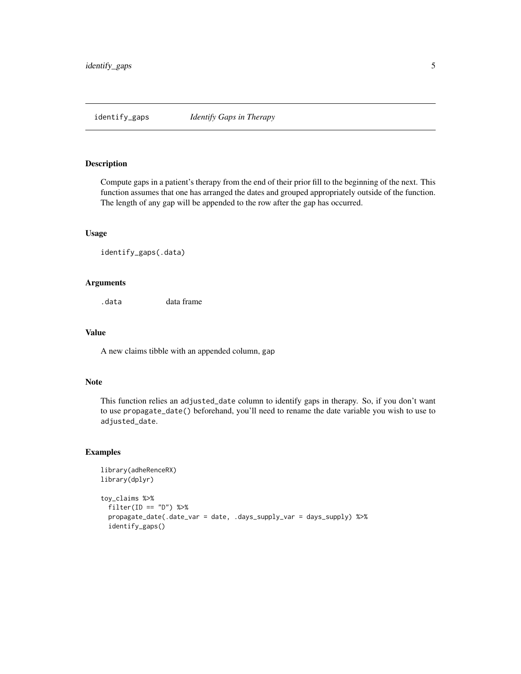<span id="page-4-0"></span>

Compute gaps in a patient's therapy from the end of their prior fill to the beginning of the next. This function assumes that one has arranged the dates and grouped appropriately outside of the function. The length of any gap will be appended to the row after the gap has occurred.

#### Usage

```
identify_gaps(.data)
```
#### Arguments

.data data frame

#### Value

A new claims tibble with an appended column, gap

#### Note

This function relies an adjusted\_date column to identify gaps in therapy. So, if you don't want to use propagate\_date() beforehand, you'll need to rename the date variable you wish to use to adjusted\_date.

```
library(adheRenceRX)
library(dplyr)
toy_claims %>%
  filter(ID == "D") %>%
  propagate_date(.date_var = date, .days_supply_var = days_supply) %>%
  identify_gaps()
```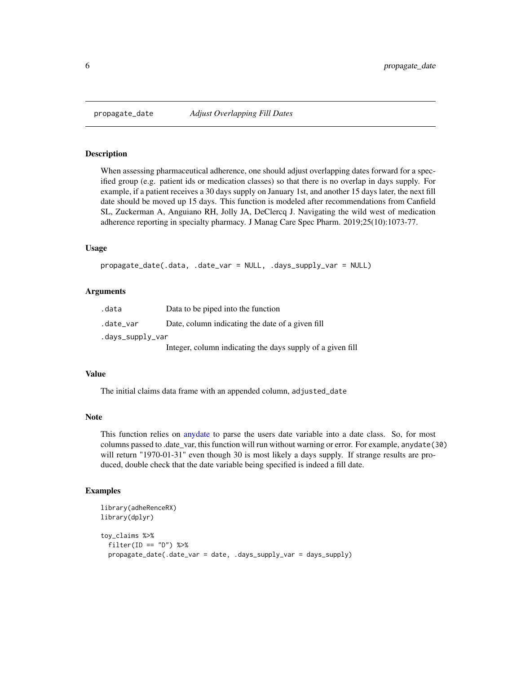<span id="page-5-0"></span>

When assessing pharmaceutical adherence, one should adjust overlapping dates forward for a specified group (e.g. patient ids or medication classes) so that there is no overlap in days supply. For example, if a patient receives a 30 days supply on January 1st, and another 15 days later, the next fill date should be moved up 15 days. This function is modeled after recommendations from Canfield SL, Zuckerman A, Anguiano RH, Jolly JA, DeClercq J. Navigating the wild west of medication adherence reporting in specialty pharmacy. J Manag Care Spec Pharm. 2019;25(10):1073-77.

#### Usage

```
propagate_date(.data, .date_var = NULL, .days_supply_var = NULL)
```
#### Arguments

| .data            | Data to be piped into the function                         |
|------------------|------------------------------------------------------------|
| .date_var        | Date, column indicating the date of a given fill           |
| .days_supply_var |                                                            |
|                  | Integer, column indicating the days supply of a given fill |

#### Value

The initial claims data frame with an appended column, adjusted\_date

#### Note

This function relies on [anydate](#page-0-0) to parse the users date variable into a date class. So, for most columns passed to .date\_var, this function will run without warning or error. For example, anydate(30) will return "1970-01-31" even though 30 is most likely a days supply. If strange results are produced, double check that the date variable being specified is indeed a fill date.

```
library(adheRenceRX)
library(dplyr)
toy_claims %>%
 filter(ID == "D") %>%
 propagate_date(.date_var = date, .days_supply_var = days_supply)
```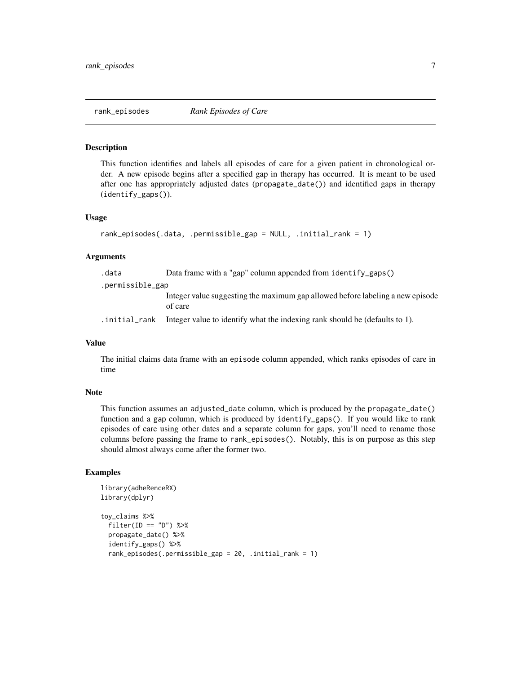<span id="page-6-0"></span>

This function identifies and labels all episodes of care for a given patient in chronological order. A new episode begins after a specified gap in therapy has occurred. It is meant to be used after one has appropriately adjusted dates (propagate\_date()) and identified gaps in therapy (identify\_gaps()).

#### Usage

```
rank_episodes(.data, .permissible_gap = NULL, .initial_rank = 1)
```
#### Arguments

| .data            | Data frame with a "gap" column appended from identify gaps $()$                           |
|------------------|-------------------------------------------------------------------------------------------|
| .permissible_gap |                                                                                           |
|                  | Integer value suggesting the maximum gap allowed before labeling a new episode<br>of care |
| .initial_rank    | Integer value to identify what the indexing rank should be (defaults to 1).               |

#### Value

The initial claims data frame with an episode column appended, which ranks episodes of care in time

#### Note

This function assumes an adjusted\_date column, which is produced by the propagate\_date() function and a gap column, which is produced by identify\_gaps(). If you would like to rank episodes of care using other dates and a separate column for gaps, you'll need to rename those columns before passing the frame to rank\_episodes(). Notably, this is on purpose as this step should almost always come after the former two.

```
library(adheRenceRX)
library(dplyr)
toy_claims %>%
  filter(ID == "D") %>%
  propagate_date() %>%
  identify_gaps() %>%
  rank_episodes(.permissible_gap = 20, .initial_rank = 1)
```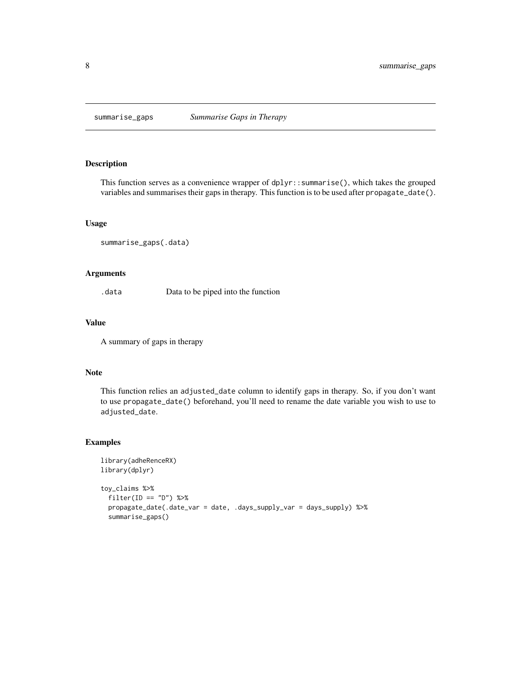<span id="page-7-0"></span>

This function serves as a convenience wrapper of dplyr::summarise(), which takes the grouped variables and summarises their gaps in therapy. This function is to be used after propagate\_date().

#### Usage

```
summarise_gaps(.data)
```
#### Arguments

.data Data to be piped into the function

#### Value

A summary of gaps in therapy

#### Note

This function relies an adjusted\_date column to identify gaps in therapy. So, if you don't want to use propagate\_date() beforehand, you'll need to rename the date variable you wish to use to adjusted\_date.

```
library(adheRenceRX)
library(dplyr)
toy_claims %>%
  filter(ID == "D") %>%
  propagate_date(.date_var = date, .days_supply_var = days_supply) %>%
  summarise_gaps()
```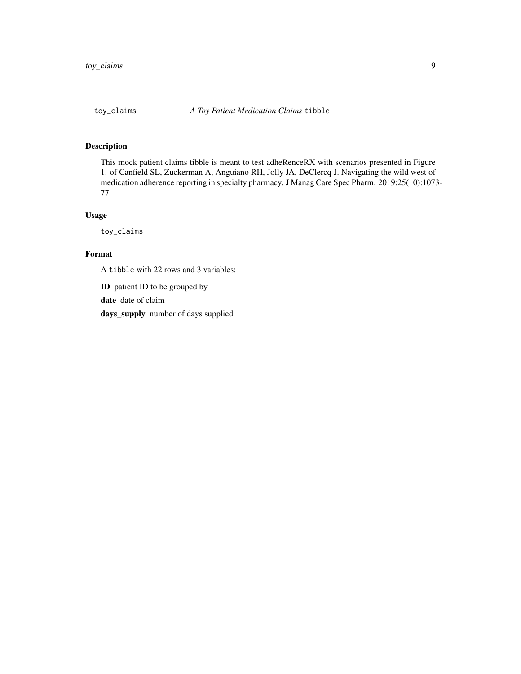<span id="page-8-0"></span>This mock patient claims tibble is meant to test adheRenceRX with scenarios presented in Figure 1. of Canfield SL, Zuckerman A, Anguiano RH, Jolly JA, DeClercq J. Navigating the wild west of medication adherence reporting in specialty pharmacy. J Manag Care Spec Pharm. 2019;25(10):1073- 77

#### Usage

toy\_claims

#### Format

A tibble with 22 rows and 3 variables:

ID patient ID to be grouped by

date date of claim

days\_supply number of days supplied